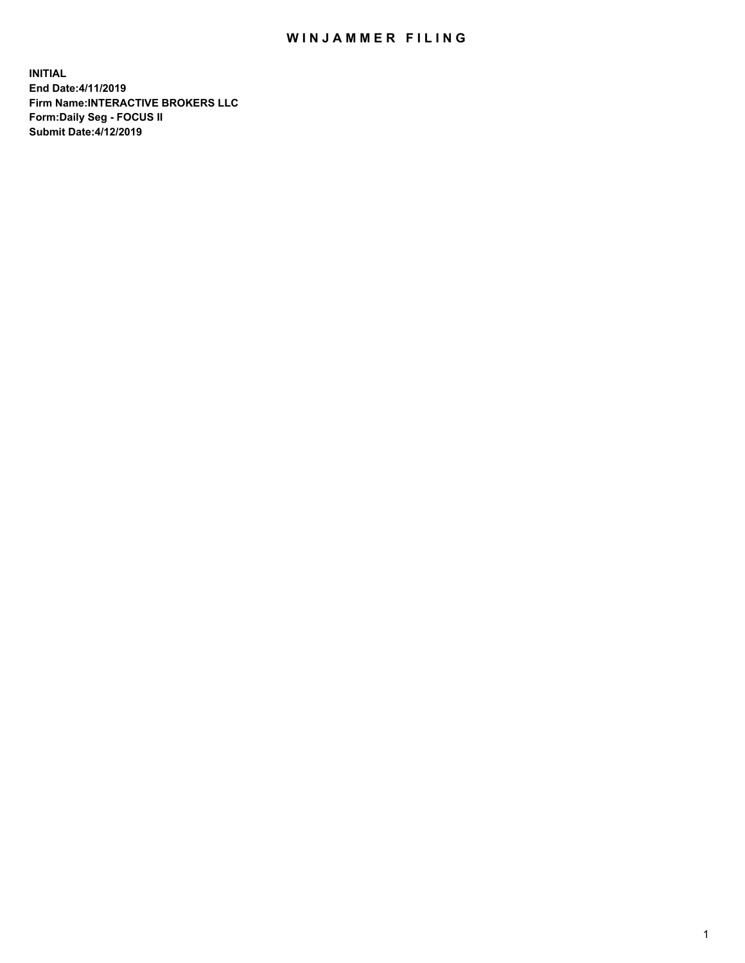## WIN JAMMER FILING

**INITIAL End Date:4/11/2019 Firm Name:INTERACTIVE BROKERS LLC Form:Daily Seg - FOCUS II Submit Date:4/12/2019**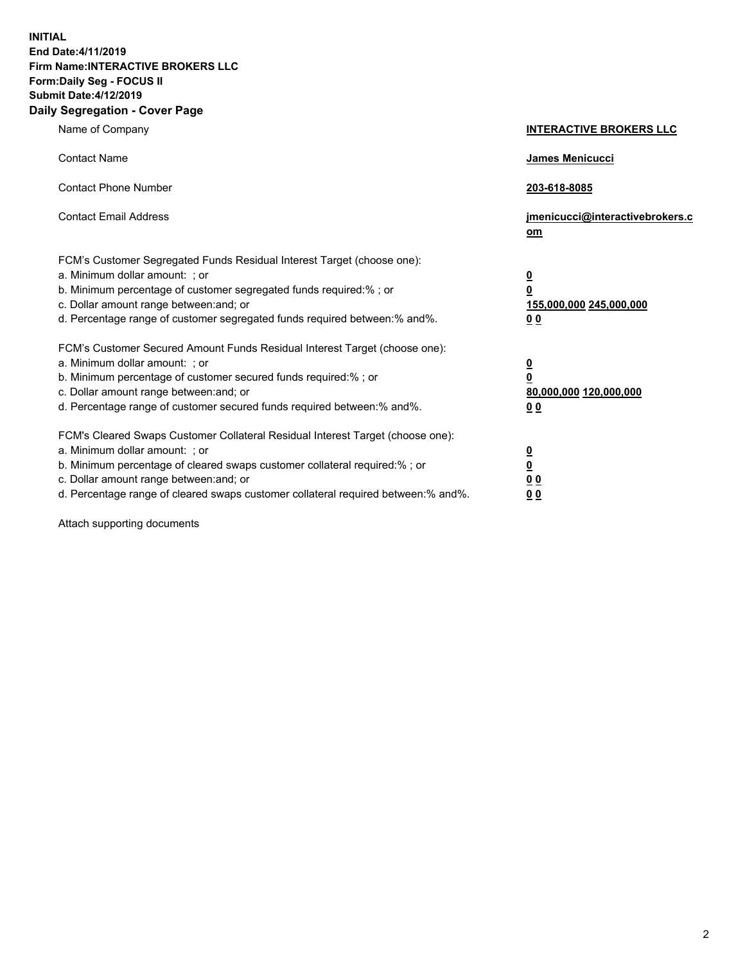**INITIAL End Date:4/11/2019 Firm Name:INTERACTIVE BROKERS LLC Form:Daily Seg - FOCUS II Submit Date:4/12/2019 Daily Segregation - Cover Page**

| Name of Company                                                                                                                                                                                                                                                                                                                | <b>INTERACTIVE BROKERS LLC</b>                                                                  |
|--------------------------------------------------------------------------------------------------------------------------------------------------------------------------------------------------------------------------------------------------------------------------------------------------------------------------------|-------------------------------------------------------------------------------------------------|
| <b>Contact Name</b>                                                                                                                                                                                                                                                                                                            | James Menicucci                                                                                 |
| <b>Contact Phone Number</b>                                                                                                                                                                                                                                                                                                    | 203-618-8085                                                                                    |
| <b>Contact Email Address</b>                                                                                                                                                                                                                                                                                                   | jmenicucci@interactivebrokers.c<br>om                                                           |
| FCM's Customer Segregated Funds Residual Interest Target (choose one):<br>a. Minimum dollar amount: ; or<br>b. Minimum percentage of customer segregated funds required:% ; or<br>c. Dollar amount range between: and; or<br>d. Percentage range of customer segregated funds required between:% and%.                         | $\overline{\mathbf{0}}$<br>$\overline{\mathbf{0}}$<br>155,000,000 245,000,000<br>0 <sub>0</sub> |
| FCM's Customer Secured Amount Funds Residual Interest Target (choose one):<br>a. Minimum dollar amount: ; or<br>b. Minimum percentage of customer secured funds required:% ; or<br>c. Dollar amount range between: and; or<br>d. Percentage range of customer secured funds required between:% and%.                           | $\overline{\mathbf{0}}$<br>0<br>80,000,000 120,000,000<br>0 <sub>0</sub>                        |
| FCM's Cleared Swaps Customer Collateral Residual Interest Target (choose one):<br>a. Minimum dollar amount: ; or<br>b. Minimum percentage of cleared swaps customer collateral required:% ; or<br>c. Dollar amount range between: and; or<br>d. Percentage range of cleared swaps customer collateral required between:% and%. | $\overline{\mathbf{0}}$<br><u>0</u><br>$\underline{0}$ $\underline{0}$<br>00                    |

Attach supporting documents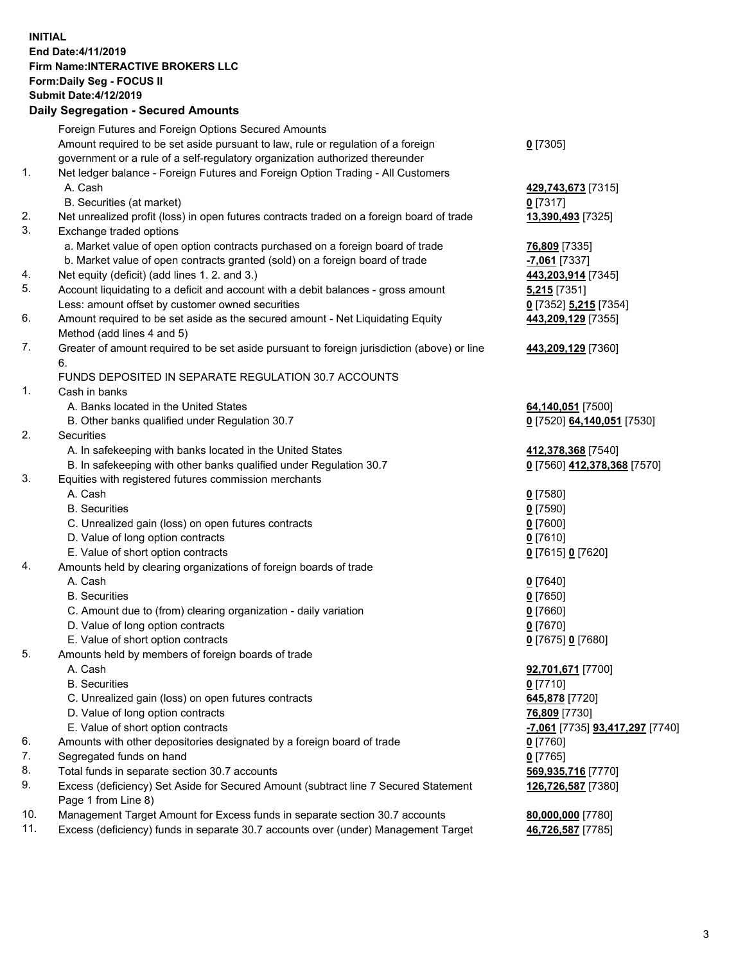## **INITIAL End Date:4/11/2019 Firm Name:INTERACTIVE BROKERS LLC Form:Daily Seg - FOCUS II Submit Date:4/12/2019 Daily Segregation - Secured Amounts**

|     | Daily Segregation - Secured Amounts                                                         |                                               |
|-----|---------------------------------------------------------------------------------------------|-----------------------------------------------|
|     | Foreign Futures and Foreign Options Secured Amounts                                         |                                               |
|     | Amount required to be set aside pursuant to law, rule or regulation of a foreign            | $0$ [7305]                                    |
|     | government or a rule of a self-regulatory organization authorized thereunder                |                                               |
| 1.  | Net ledger balance - Foreign Futures and Foreign Option Trading - All Customers             |                                               |
|     | A. Cash                                                                                     | 429,743,673 [7315]                            |
|     | B. Securities (at market)                                                                   | $0$ [7317]                                    |
| 2.  | Net unrealized profit (loss) in open futures contracts traded on a foreign board of trade   | 13,390,493 [7325]                             |
| 3.  | Exchange traded options                                                                     |                                               |
|     | a. Market value of open option contracts purchased on a foreign board of trade              | <b>76,809</b> [7335]                          |
|     | b. Market value of open contracts granted (sold) on a foreign board of trade                | -7,061 [7337]                                 |
| 4.  | Net equity (deficit) (add lines 1. 2. and 3.)                                               | 443,203,914 [7345]                            |
| 5.  | Account liquidating to a deficit and account with a debit balances - gross amount           | 5,215 [7351]                                  |
|     | Less: amount offset by customer owned securities                                            | 0 [7352] 5,215 [7354]                         |
| 6.  | Amount required to be set aside as the secured amount - Net Liquidating Equity              | 443,209,129 [7355]                            |
|     | Method (add lines 4 and 5)                                                                  |                                               |
| 7.  | Greater of amount required to be set aside pursuant to foreign jurisdiction (above) or line | 443,209,129 [7360]                            |
|     | 6.                                                                                          |                                               |
|     | FUNDS DEPOSITED IN SEPARATE REGULATION 30.7 ACCOUNTS                                        |                                               |
| 1.  | Cash in banks                                                                               |                                               |
|     | A. Banks located in the United States                                                       | 64,140,051 [7500]                             |
|     | B. Other banks qualified under Regulation 30.7                                              | 0 [7520] 64,140,051 [7530]                    |
| 2.  | Securities                                                                                  |                                               |
|     | A. In safekeeping with banks located in the United States                                   | 412,378,368 [7540]                            |
|     | B. In safekeeping with other banks qualified under Regulation 30.7                          | 0 [7560] 412,378,368 [7570]                   |
| 3.  | Equities with registered futures commission merchants                                       |                                               |
|     | A. Cash                                                                                     | $0$ [7580]                                    |
|     | <b>B.</b> Securities                                                                        | $0$ [7590]                                    |
|     | C. Unrealized gain (loss) on open futures contracts                                         | $0$ [7600]                                    |
|     | D. Value of long option contracts                                                           | $0$ [7610]                                    |
|     | E. Value of short option contracts                                                          | 0 [7615] 0 [7620]                             |
| 4.  | Amounts held by clearing organizations of foreign boards of trade                           |                                               |
|     | A. Cash                                                                                     | $0$ [7640]                                    |
|     | <b>B.</b> Securities                                                                        | $0$ [7650]                                    |
|     | C. Amount due to (from) clearing organization - daily variation                             | $0$ [7660]                                    |
|     | D. Value of long option contracts                                                           | $0$ [7670]                                    |
|     | E. Value of short option contracts                                                          | 0 [7675] 0 [7680]                             |
| 5.  | Amounts held by members of foreign boards of trade                                          |                                               |
|     | A. Cash                                                                                     | 92,701,671 [7700]                             |
|     | <b>B.</b> Securities                                                                        | $0$ [7710]                                    |
|     | C. Unrealized gain (loss) on open futures contracts                                         | 645,878 [7720]                                |
|     | D. Value of long option contracts                                                           | 76,809 [7730]                                 |
|     | E. Value of short option contracts                                                          | <u>-7,061</u> [7735] <u>93,417,297</u> [7740] |
| 6.  | Amounts with other depositories designated by a foreign board of trade                      | $0$ [7760]                                    |
| 7.  | Segregated funds on hand                                                                    | $0$ [7765]                                    |
| 8.  | Total funds in separate section 30.7 accounts                                               | 569,935,716 [7770]                            |
| 9.  | Excess (deficiency) Set Aside for Secured Amount (subtract line 7 Secured Statement         | 126,726,587 [7380]                            |
|     | Page 1 from Line 8)                                                                         |                                               |
| 10. | Management Target Amount for Excess funds in separate section 30.7 accounts                 | 80,000,000 [7780]                             |
| 11. | Excess (deficiency) funds in separate 30.7 accounts over (under) Management Target          | 46,726,587 [7785]                             |
|     |                                                                                             |                                               |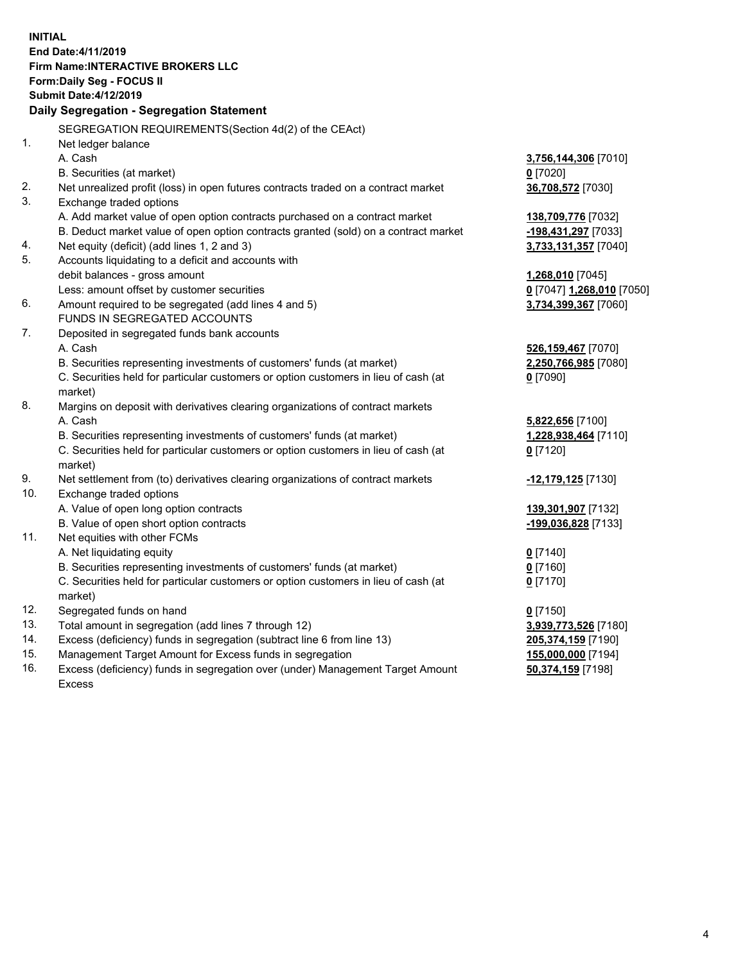**INITIAL End Date:4/11/2019 Firm Name:INTERACTIVE BROKERS LLC Form:Daily Seg - FOCUS II Submit Date:4/12/2019 Daily Segregation - Segregation Statement** SEGREGATION REQUIREMENTS(Section 4d(2) of the CEAct) 1. Net ledger balance A. Cash **3,756,144,306** [7010] B. Securities (at market) **0** [7020] 2. Net unrealized profit (loss) in open futures contracts traded on a contract market **36,708,572** [7030] 3. Exchange traded options A. Add market value of open option contracts purchased on a contract market **138,709,776** [7032] B. Deduct market value of open option contracts granted (sold) on a contract market **-198,431,297** [7033] 4. Net equity (deficit) (add lines 1, 2 and 3) **3,733,131,357** [7040] 5. Accounts liquidating to a deficit and accounts with debit balances - gross amount **1,268,010** [7045] Less: amount offset by customer securities **0** [7047] **1,268,010** [7050] 6. Amount required to be segregated (add lines 4 and 5) **3,734,399,367** [7060] FUNDS IN SEGREGATED ACCOUNTS 7. Deposited in segregated funds bank accounts A. Cash **526,159,467** [7070] B. Securities representing investments of customers' funds (at market) **2,250,766,985** [7080] C. Securities held for particular customers or option customers in lieu of cash (at market) **0** [7090] 8. Margins on deposit with derivatives clearing organizations of contract markets A. Cash **5,822,656** [7100] B. Securities representing investments of customers' funds (at market) **1,228,938,464** [7110] C. Securities held for particular customers or option customers in lieu of cash (at market) **0** [7120] 9. Net settlement from (to) derivatives clearing organizations of contract markets **-12,179,125** [7130] 10. Exchange traded options A. Value of open long option contracts **139,301,907** [7132] B. Value of open short option contracts **-199,036,828** [7133] 11. Net equities with other FCMs A. Net liquidating equity **0** [7140] B. Securities representing investments of customers' funds (at market) **0** [7160] C. Securities held for particular customers or option customers in lieu of cash (at market) **0** [7170] 12. Segregated funds on hand **0** [7150] 13. Total amount in segregation (add lines 7 through 12) **3,939,773,526** [7180] 14. Excess (deficiency) funds in segregation (subtract line 6 from line 13) **205,374,159** [7190] 15. Management Target Amount for Excess funds in segregation **155,000,000** [7194] **50,374,159** [7198]

16. Excess (deficiency) funds in segregation over (under) Management Target Amount Excess